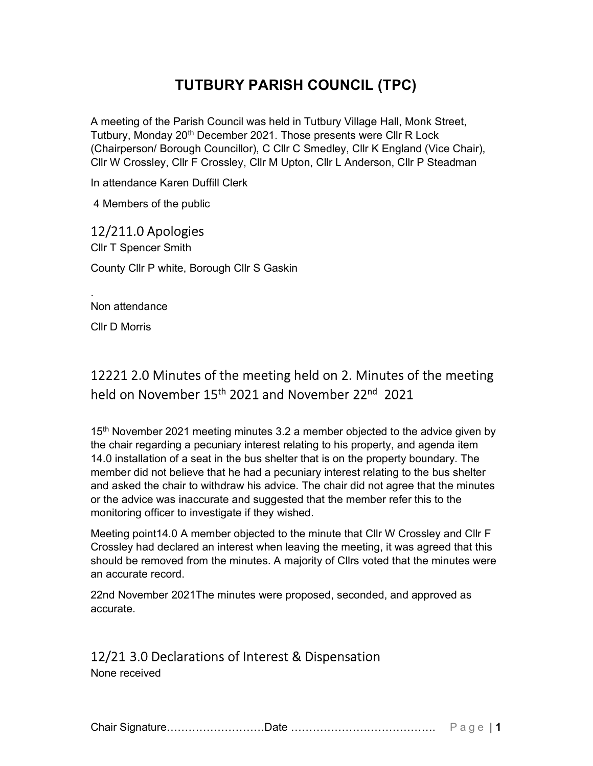# TUTBURY PARISH COUNCIL (TPC)

A meeting of the Parish Council was held in Tutbury Village Hall, Monk Street, Tutbury, Monday 20<sup>th</sup> December 2021. Those presents were Cllr R Lock (Chairperson/ Borough Councillor), C Cllr C Smedley, Cllr K England (Vice Chair), Cllr W Crossley, Cllr F Crossley, Cllr M Upton, Cllr L Anderson, Cllr P Steadman

In attendance Karen Duffill Clerk

4 Members of the public

### 12/211.0 Apologies

Cllr T Spencer Smith County Cllr P white, Borough Cllr S Gaskin

Non attendance

Cllr D Morris

.

# 12221 2.0 Minutes of the meeting held on 2. Minutes of the meeting held on November 15<sup>th</sup> 2021 and November 22<sup>nd</sup> 2021

15<sup>th</sup> November 2021 meeting minutes 3.2 a member objected to the advice given by the chair regarding a pecuniary interest relating to his property, and agenda item 14.0 installation of a seat in the bus shelter that is on the property boundary. The member did not believe that he had a pecuniary interest relating to the bus shelter and asked the chair to withdraw his advice. The chair did not agree that the minutes or the advice was inaccurate and suggested that the member refer this to the monitoring officer to investigate if they wished.

Meeting point14.0 A member objected to the minute that Cllr W Crossley and Cllr F Crossley had declared an interest when leaving the meeting, it was agreed that this should be removed from the minutes. A majority of Cllrs voted that the minutes were an accurate record.

22nd November 2021The minutes were proposed, seconded, and approved as accurate.

### 12/21 3.0 Declarations of Interest & Dispensation

None received

Chair Signature………………………Date …………………………………. P a g e | 1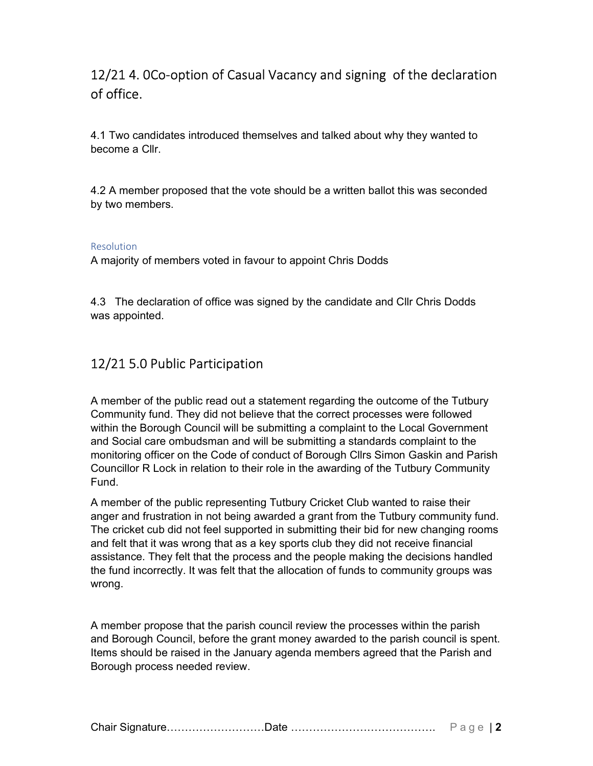## 12/21 4. 0Co-option of Casual Vacancy and signing of the declaration of office.

4.1 Two candidates introduced themselves and talked about why they wanted to become a Cllr.

4.2 A member proposed that the vote should be a written ballot this was seconded by two members.

#### Resolution

A majority of members voted in favour to appoint Chris Dodds

4.3 The declaration of office was signed by the candidate and Cllr Chris Dodds was appointed.

### 12/21 5.0 Public Participation

A member of the public read out a statement regarding the outcome of the Tutbury Community fund. They did not believe that the correct processes were followed within the Borough Council will be submitting a complaint to the Local Government and Social care ombudsman and will be submitting a standards complaint to the monitoring officer on the Code of conduct of Borough Cllrs Simon Gaskin and Parish Councillor R Lock in relation to their role in the awarding of the Tutbury Community Fund.

A member of the public representing Tutbury Cricket Club wanted to raise their anger and frustration in not being awarded a grant from the Tutbury community fund. The cricket cub did not feel supported in submitting their bid for new changing rooms and felt that it was wrong that as a key sports club they did not receive financial assistance. They felt that the process and the people making the decisions handled the fund incorrectly. It was felt that the allocation of funds to community groups was wrong.

A member propose that the parish council review the processes within the parish and Borough Council, before the grant money awarded to the parish council is spent. Items should be raised in the January agenda members agreed that the Parish and Borough process needed review.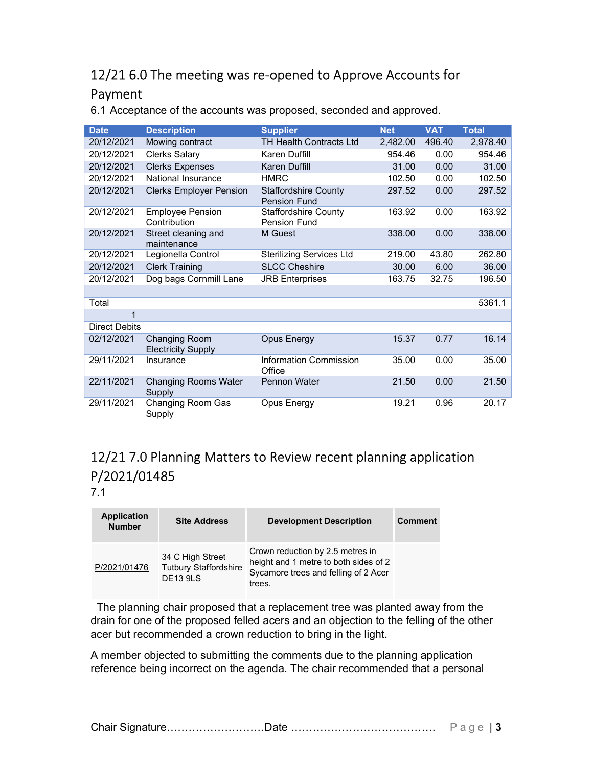# 12/21 6.0 The meeting was re-opened to Approve Accounts for Payment

| <b>Date</b>          | <b>Description</b>                         | <b>Supplier</b>                                    | <b>Net</b> | <b>VAT</b> | <b>Total</b> |
|----------------------|--------------------------------------------|----------------------------------------------------|------------|------------|--------------|
| 20/12/2021           | Mowing contract                            | TH Health Contracts Ltd                            | 2,482.00   | 496.40     | 2,978.40     |
| 20/12/2021           | <b>Clerks Salary</b>                       | Karen Duffill                                      | 954.46     | 0.00       | 954.46       |
| 20/12/2021           | <b>Clerks Expenses</b>                     | Karen Duffill                                      | 31.00      | 0.00       | 31.00        |
| 20/12/2021           | National Insurance                         | <b>HMRC</b>                                        | 102.50     | 0.00       | 102.50       |
| 20/12/2021           | <b>Clerks Employer Pension</b>             | <b>Staffordshire County</b><br><b>Pension Fund</b> | 297.52     | 0.00       | 297.52       |
| 20/12/2021           | <b>Employee Pension</b><br>Contribution    | <b>Staffordshire County</b><br><b>Pension Fund</b> | 163.92     | 0.00       | 163.92       |
| 20/12/2021           | Street cleaning and<br>maintenance         | M Guest                                            | 338.00     | 0.00       | 338.00       |
| 20/12/2021           | Legionella Control                         | <b>Sterilizing Services Ltd</b>                    | 219.00     | 43.80      | 262.80       |
| 20/12/2021           | <b>Clerk Training</b>                      | <b>SLCC Cheshire</b>                               | 30.00      | 6.00       | 36.00        |
| 20/12/2021           | Dog bags Cornmill Lane                     | <b>JRB</b> Enterprises                             | 163.75     | 32.75      | 196.50       |
|                      |                                            |                                                    |            |            |              |
| Total                |                                            |                                                    |            |            | 5361.1       |
| 1                    |                                            |                                                    |            |            |              |
| <b>Direct Debits</b> |                                            |                                                    |            |            |              |
| 02/12/2021           | Changing Room<br><b>Electricity Supply</b> | Opus Energy                                        | 15.37      | 0.77       | 16.14        |
| 29/11/2021           | Insurance                                  | Information Commission<br>Office                   | 35.00      | 0.00       | 35.00        |
| 22/11/2021           | <b>Changing Rooms Water</b><br>Supply      | <b>Pennon Water</b>                                | 21.50      | 0.00       | 21.50        |
| 29/11/2021           | Changing Room Gas<br>Supply                | Opus Energy                                        | 19.21      | 0.96       | 20.17        |

6.1 Acceptance of the accounts was proposed, seconded and approved.

# 12/21 7.0 Planning Matters to Review recent planning application P/2021/01485

7.1

| <b>Application</b><br><b>Number</b> | <b>Site Address</b>                                                 | <b>Development Description</b>                                                                                              | <b>Comment</b> |
|-------------------------------------|---------------------------------------------------------------------|-----------------------------------------------------------------------------------------------------------------------------|----------------|
| P/2021/01476                        | 34 C High Street<br><b>Tutbury Staffordshire</b><br><b>DE13 9LS</b> | Crown reduction by 2.5 metres in<br>height and 1 metre to both sides of 2<br>Sycamore trees and felling of 2 Acer<br>trees. |                |

 The planning chair proposed that a replacement tree was planted away from the drain for one of the proposed felled acers and an objection to the felling of the other acer but recommended a crown reduction to bring in the light.

A member objected to submitting the comments due to the planning application reference being incorrect on the agenda. The chair recommended that a personal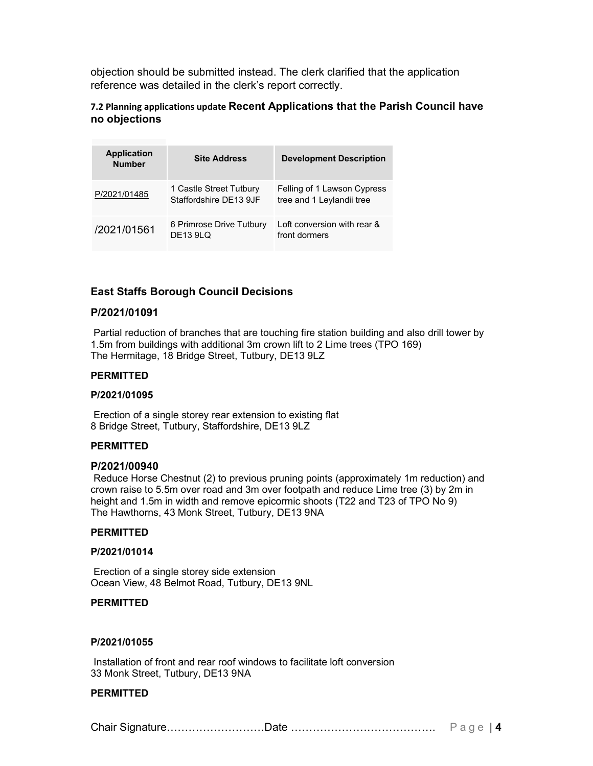objection should be submitted instead. The clerk clarified that the application reference was detailed in the clerk's report correctly.

#### 7.2 Planning applications update Recent Applications that the Parish Council have no objections

| <b>Application</b><br><b>Number</b> | <b>Site Address</b>                               | <b>Development Description</b>                           |
|-------------------------------------|---------------------------------------------------|----------------------------------------------------------|
| P/2021/01485                        | 1 Castle Street Tutbury<br>Staffordshire DE13 9JF | Felling of 1 Lawson Cypress<br>tree and 1 Leylandii tree |
| /2021/01561                         | 6 Primrose Drive Tutbury<br><b>DE13 9LQ</b>       | Loft conversion with rear &<br>front dormers             |

#### East Staffs Borough Council Decisions

#### P/2021/01091

Partial reduction of branches that are touching fire station building and also drill tower by 1.5m from buildings with additional 3m crown lift to 2 Lime trees (TPO 169) The Hermitage, 18 Bridge Street, Tutbury, DE13 9LZ

#### PERMITTED

#### P/2021/01095

Erection of a single storey rear extension to existing flat 8 Bridge Street, Tutbury, Staffordshire, DE13 9LZ

#### PERMITTED

#### P/2021/00940

Reduce Horse Chestnut (2) to previous pruning points (approximately 1m reduction) and crown raise to 5.5m over road and 3m over footpath and reduce Lime tree (3) by 2m in height and 1.5m in width and remove epicormic shoots (T22 and T23 of TPO No 9) The Hawthorns, 43 Monk Street, Tutbury, DE13 9NA

#### PERMITTED

#### P/2021/01014

Erection of a single storey side extension Ocean View, 48 Belmot Road, Tutbury, DE13 9NL

#### PERMITTED

#### P/2021/01055

Installation of front and rear roof windows to facilitate loft conversion 33 Monk Street, Tutbury, DE13 9NA

#### PERMITTED

Chair Signature………………………Date …………………………………. P a g e | 4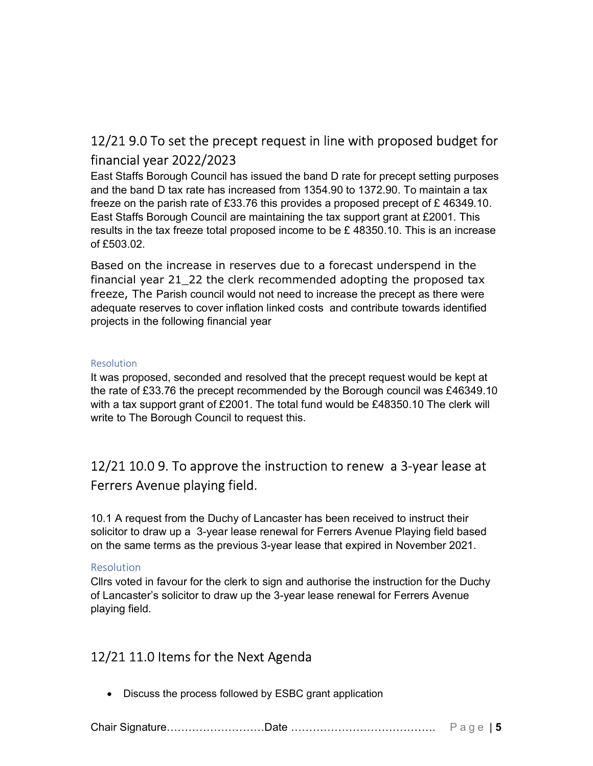# 12/21 9.0 To set the precept request in line with proposed budget for financial year 2022/2023

East Staffs Borough Council has issued the band D rate for precept setting purposes and the band D tax rate has increased from 1354.90 to 1372.90. To maintain a tax freeze on the parish rate of £33.76 this provides a proposed precept of £ 46349.10. East Staffs Borough Council are maintaining the tax support grant at £2001. This results in the tax freeze total proposed income to be £ 48350.10. This is an increase of £503.02.

Based on the increase in reserves due to a forecast underspend in the financial year 21\_22 the clerk recommended adopting the proposed tax freeze, The Parish council would not need to increase the precept as there were adequate reserves to cover inflation linked costs and contribute towards identified projects in the following financial year

#### Resolution

It was proposed, seconded and resolved that the precept request would be kept at the rate of £33.76 the precept recommended by the Borough council was £46349.10 with a tax support grant of £2001. The total fund would be £48350.10 The clerk will write to The Borough Council to request this.

# 12/21 10.0 9. To approve the instruction to renew a 3-year lease at Ferrers Avenue playing field.

10.1 A request from the Duchy of Lancaster has been received to instruct their solicitor to draw up a 3-year lease renewal for Ferrers Avenue Playing field based on the same terms as the previous 3-year lease that expired in November 2021.

#### Resolution

Cllrs voted in favour for the clerk to sign and authorise the instruction for the Duchy of Lancaster's solicitor to draw up the 3-year lease renewal for Ferrers Avenue playing field.

### 12/21 11.0 Items for the Next Agenda

• Discuss the process followed by ESBC grant application

|--|--|--|--|--|--|